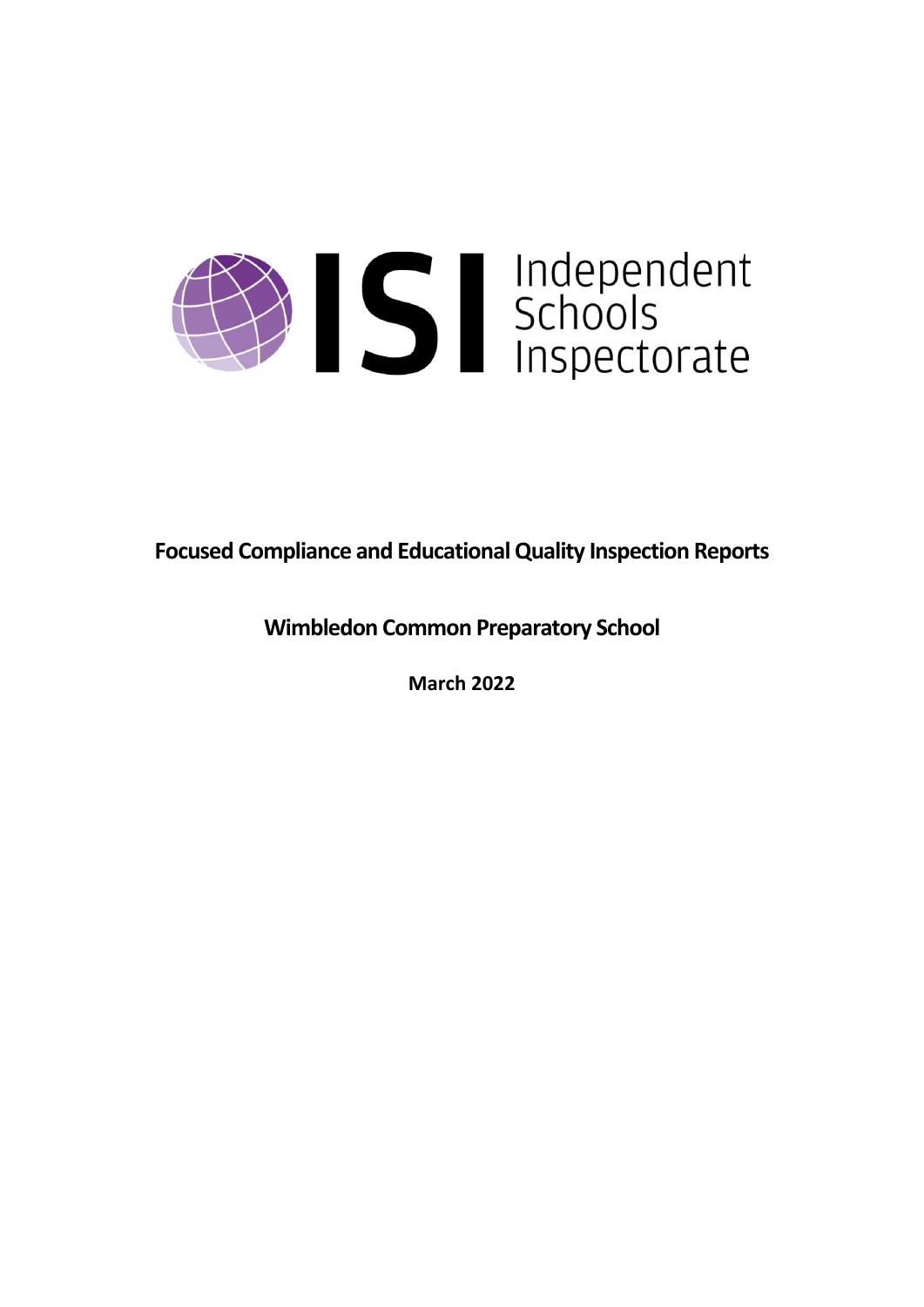

**Focused Compliance and EducationalQuality Inspection Reports**

**Wimbledon Common Preparatory School**

**March 2022**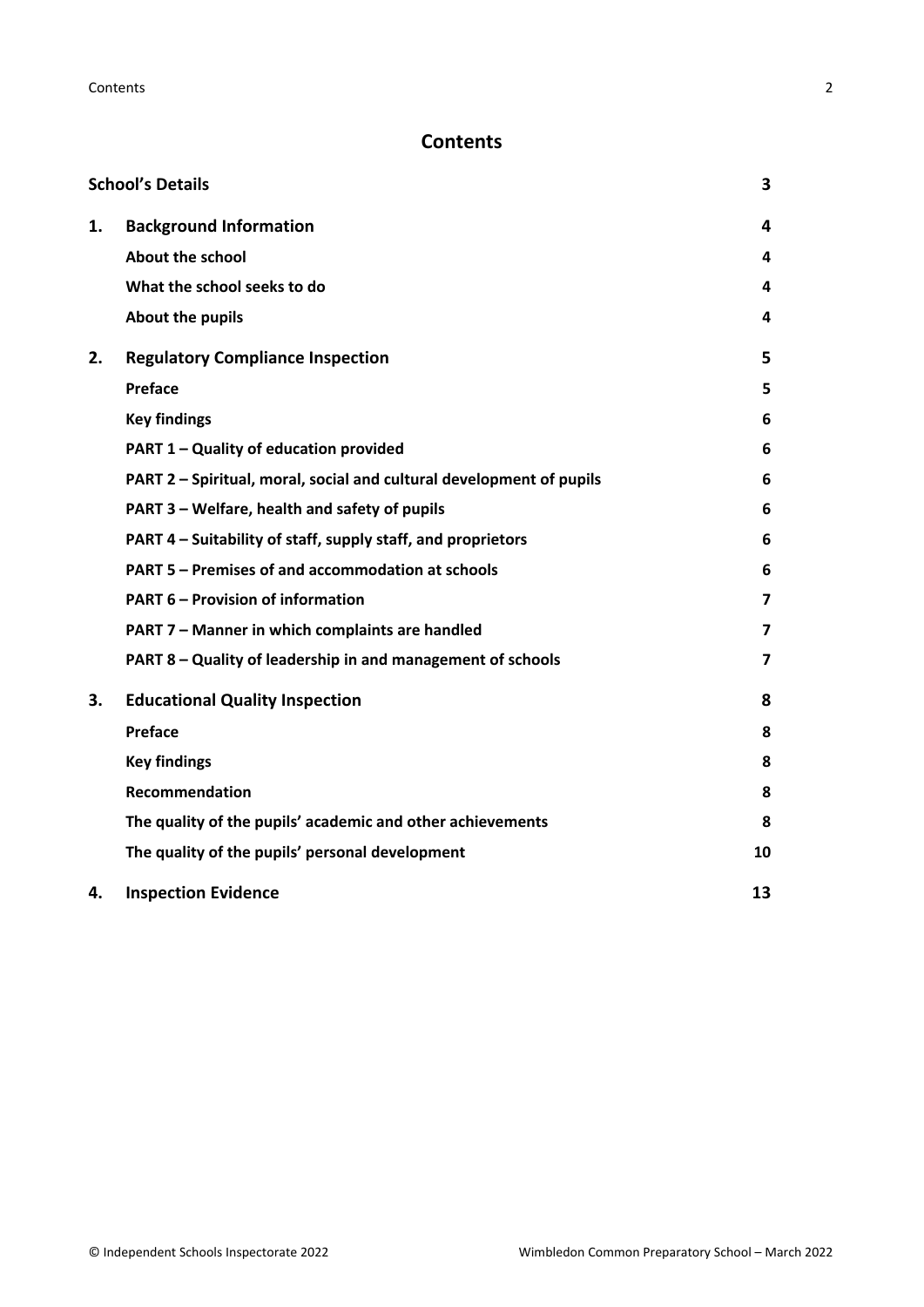# **Contents**

|    | <b>School's Details</b>                                              | 3                       |
|----|----------------------------------------------------------------------|-------------------------|
| 1. | <b>Background Information</b>                                        | 4                       |
|    | <b>About the school</b>                                              | 4                       |
|    | What the school seeks to do                                          | 4                       |
|    | About the pupils                                                     | 4                       |
| 2. | <b>Regulatory Compliance Inspection</b>                              | 5                       |
|    | Preface                                                              | 5                       |
|    | <b>Key findings</b>                                                  | 6                       |
|    | PART 1 - Quality of education provided                               | 6                       |
|    | PART 2 - Spiritual, moral, social and cultural development of pupils | 6                       |
|    | PART 3 - Welfare, health and safety of pupils                        | 6                       |
|    | PART 4 – Suitability of staff, supply staff, and proprietors         | 6                       |
|    | PART 5 - Premises of and accommodation at schools                    | 6                       |
|    | <b>PART 6 - Provision of information</b>                             | $\overline{\mathbf{z}}$ |
|    | PART 7 - Manner in which complaints are handled                      | 7                       |
|    | PART 8 - Quality of leadership in and management of schools          | $\overline{\mathbf{z}}$ |
| 3. | <b>Educational Quality Inspection</b>                                | 8                       |
|    | Preface                                                              | 8                       |
|    | <b>Key findings</b>                                                  | 8                       |
|    | <b>Recommendation</b>                                                | 8                       |
|    | The quality of the pupils' academic and other achievements           | 8                       |
|    | The quality of the pupils' personal development                      | 10                      |
| 4. | <b>Inspection Evidence</b>                                           | 13                      |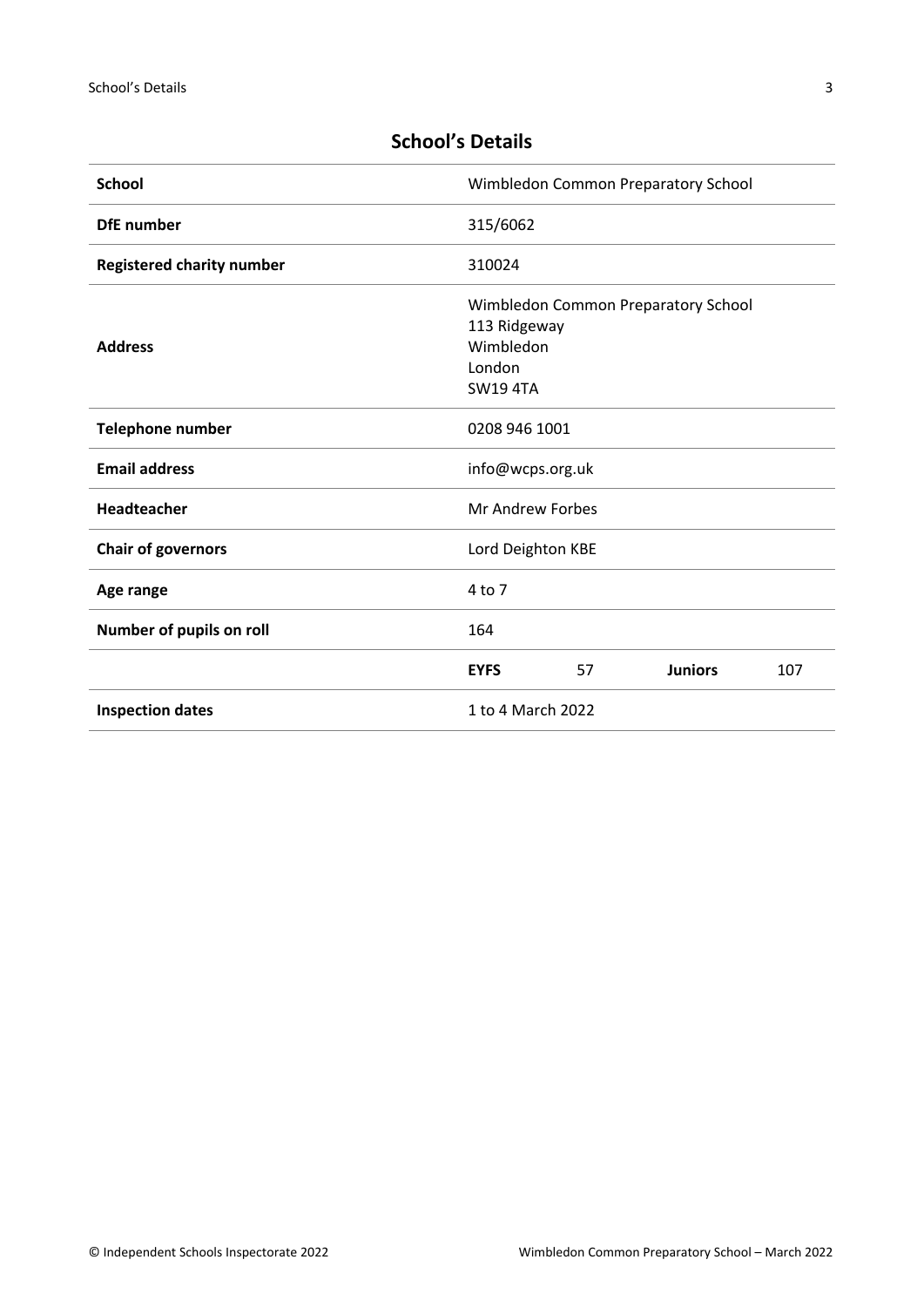| <b>School</b>                    | Wimbledon Common Preparatory School                   |    |                                     |     |
|----------------------------------|-------------------------------------------------------|----|-------------------------------------|-----|
| <b>DfE</b> number                | 315/6062                                              |    |                                     |     |
| <b>Registered charity number</b> | 310024                                                |    |                                     |     |
| <b>Address</b>                   | 113 Ridgeway<br>Wimbledon<br>London<br><b>SW194TA</b> |    | Wimbledon Common Preparatory School |     |
| <b>Telephone number</b>          | 0208 946 1001                                         |    |                                     |     |
| <b>Email address</b>             | info@wcps.org.uk                                      |    |                                     |     |
| <b>Headteacher</b>               | Mr Andrew Forbes                                      |    |                                     |     |
| <b>Chair of governors</b>        | Lord Deighton KBE                                     |    |                                     |     |
| Age range                        | $4$ to $7$                                            |    |                                     |     |
| Number of pupils on roll         | 164                                                   |    |                                     |     |
|                                  | <b>EYFS</b>                                           | 57 | <b>Juniors</b>                      | 107 |
| <b>Inspection dates</b>          | 1 to 4 March 2022                                     |    |                                     |     |

# <span id="page-2-0"></span>**School's Details**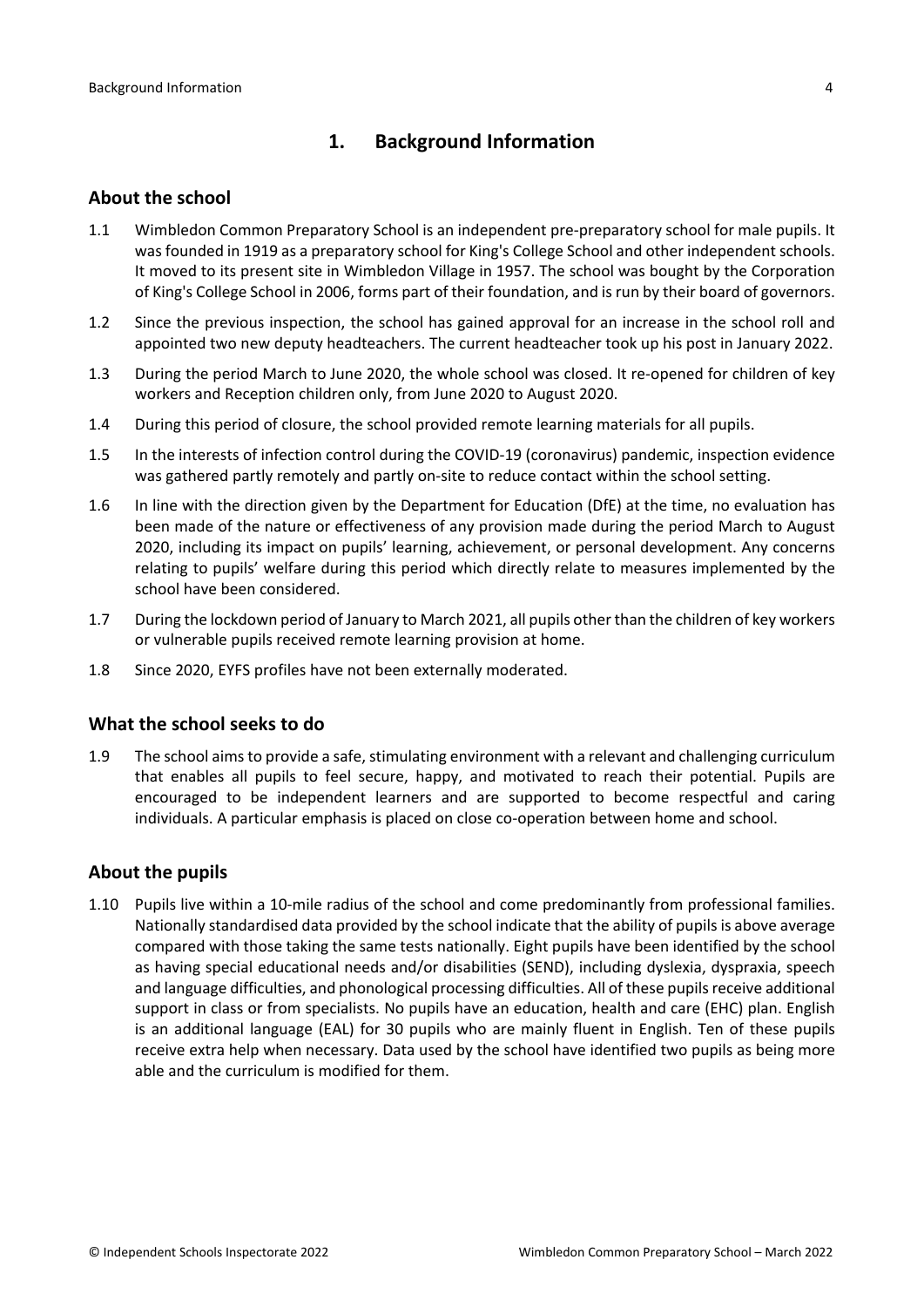# <span id="page-3-0"></span>**1. Background Information**

### <span id="page-3-1"></span>**About the school**

- 1.1 Wimbledon Common Preparatory School is an independent pre-preparatory school for male pupils. It was founded in 1919 as a preparatory school for King's College School and other independent schools. It moved to its present site in Wimbledon Village in 1957. The school was bought by the Corporation of King's College School in 2006, forms part of their foundation, and is run by their board of governors.
- 1.2 Since the previous inspection, the school has gained approval for an increase in the school roll and appointed two new deputy headteachers. The current headteacher took up his post in January 2022.
- 1.3 During the period March to June 2020, the whole school was closed. It re-opened for children of key workers and Reception children only, from June 2020 to August 2020.
- 1.4 During this period of closure, the school provided remote learning materials for all pupils.
- 1.5 In the interests of infection control during the COVID-19 (coronavirus) pandemic, inspection evidence was gathered partly remotely and partly on-site to reduce contact within the school setting.
- 1.6 In line with the direction given by the Department for Education (DfE) at the time, no evaluation has been made of the nature or effectiveness of any provision made during the period March to August 2020, including its impact on pupils' learning, achievement, or personal development. Any concerns relating to pupils' welfare during this period which directly relate to measures implemented by the school have been considered.
- 1.7 During the lockdown period of January to March 2021, all pupils other than the children of key workers or vulnerable pupils received remote learning provision at home.
- 1.8 Since 2020, EYFS profiles have not been externally moderated.

### <span id="page-3-2"></span>**What the school seeks to do**

1.9 The school aims to provide a safe, stimulating environment with a relevant and challenging curriculum that enables all pupils to feel secure, happy, and motivated to reach their potential. Pupils are encouraged to be independent learners and are supported to become respectful and caring individuals. A particular emphasis is placed on close co-operation between home and school.

### <span id="page-3-3"></span>**About the pupils**

1.10 Pupils live within a 10-mile radius of the school and come predominantly from professional families. Nationally standardised data provided by the school indicate that the ability of pupils is above average compared with those taking the same tests nationally. Eight pupils have been identified by the school as having special educational needs and/or disabilities (SEND), including dyslexia, dyspraxia, speech and language difficulties, and phonological processing difficulties. All of these pupils receive additional support in class or from specialists. No pupils have an education, health and care (EHC) plan. English is an additional language (EAL) for 30 pupils who are mainly fluent in English. Ten of these pupils receive extra help when necessary. Data used by the school have identified two pupils as being more able and the curriculum is modified for them.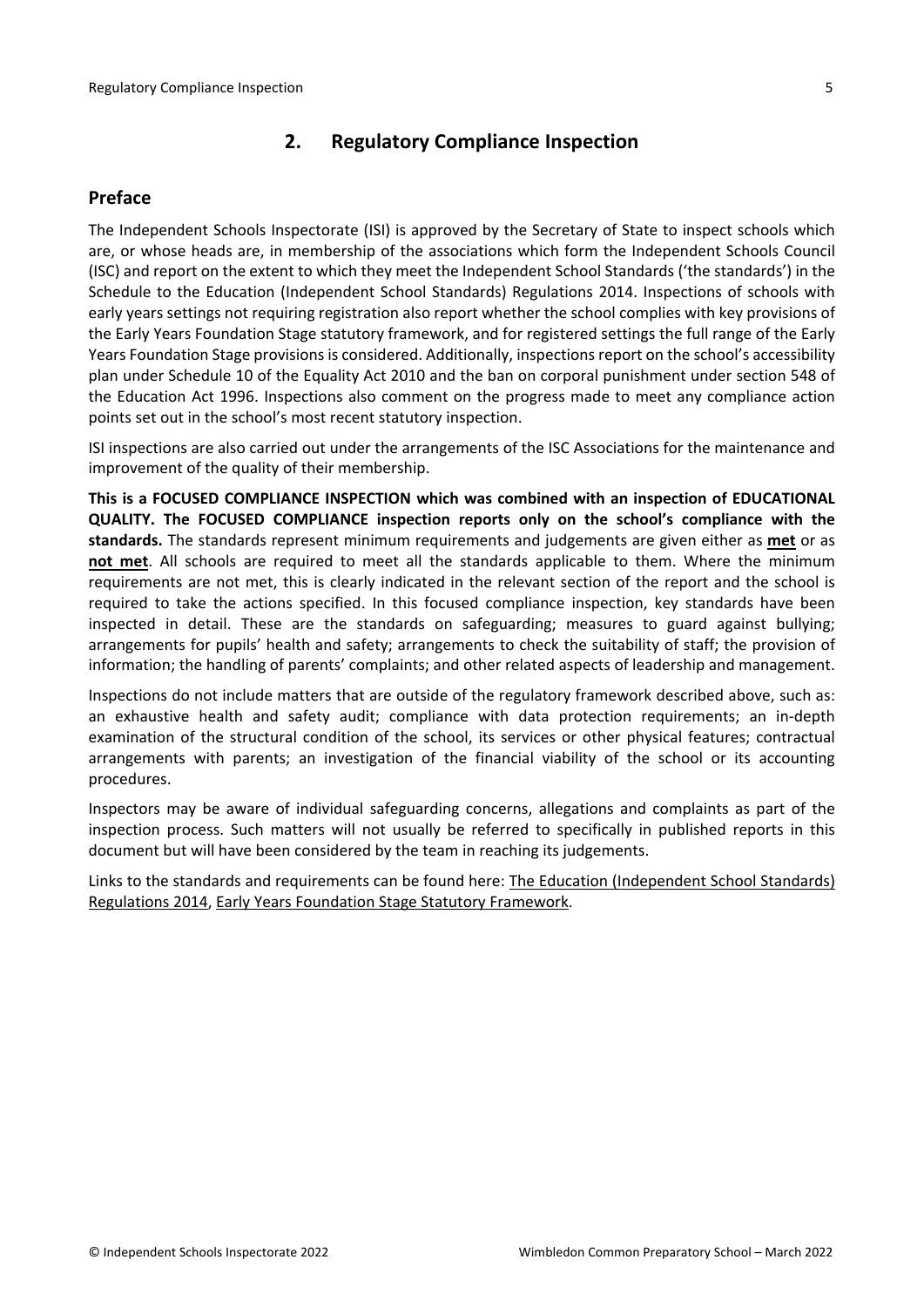# <span id="page-4-0"></span>**2. Regulatory Compliance Inspection**

# <span id="page-4-1"></span>**Preface**

The Independent Schools Inspectorate (ISI) is approved by the Secretary of State to inspect schools which are, or whose heads are, in membership of the associations which form the Independent Schools Council (ISC) and report on the extent to which they meet the Independent School Standards ('the standards') in the Schedule to the Education (Independent School Standards) Regulations 2014. Inspections of schools with early years settings not requiring registration also report whether the school complies with key provisions of the Early Years Foundation Stage statutory framework, and for registered settings the full range of the Early Years Foundation Stage provisions is considered. Additionally, inspections report on the school's accessibility plan under Schedule 10 of the Equality Act 2010 and the ban on corporal punishment under section 548 of the Education Act 1996. Inspections also comment on the progress made to meet any compliance action points set out in the school's most recent statutory inspection.

ISI inspections are also carried out under the arrangements of the ISC Associations for the maintenance and improvement of the quality of their membership.

**This is a FOCUSED COMPLIANCE INSPECTION which was combined with an inspection of EDUCATIONAL QUALITY. The FOCUSED COMPLIANCE inspection reports only on the school's compliance with the standards.** The standards represent minimum requirements and judgements are given either as **met** or as **not met**. All schools are required to meet all the standards applicable to them. Where the minimum requirements are not met, this is clearly indicated in the relevant section of the report and the school is required to take the actions specified. In this focused compliance inspection, key standards have been inspected in detail. These are the standards on safeguarding; measures to guard against bullying; arrangements for pupils' health and safety; arrangements to check the suitability of staff; the provision of information; the handling of parents' complaints; and other related aspects of leadership and management.

Inspections do not include matters that are outside of the regulatory framework described above, such as: an exhaustive health and safety audit; compliance with data protection requirements; an in-depth examination of the structural condition of the school, its services or other physical features; contractual arrangements with parents; an investigation of the financial viability of the school or its accounting procedures.

Inspectors may be aware of individual safeguarding concerns, allegations and complaints as part of the inspection process. Such matters will not usually be referred to specifically in published reports in this document but will have been considered by the team in reaching its judgements.

Links to the standards and requirements can be found here: The Education [\(Independent](http://www.legislation.gov.uk/uksi/2014/3283/contents/made) School Standards) [Regulations](http://www.legislation.gov.uk/uksi/2014/3283/contents/made) 2014, Early Years Foundation Stage Statutory [Framework.](https://www.gov.uk/government/publications/early-years-foundation-stage-framework--2)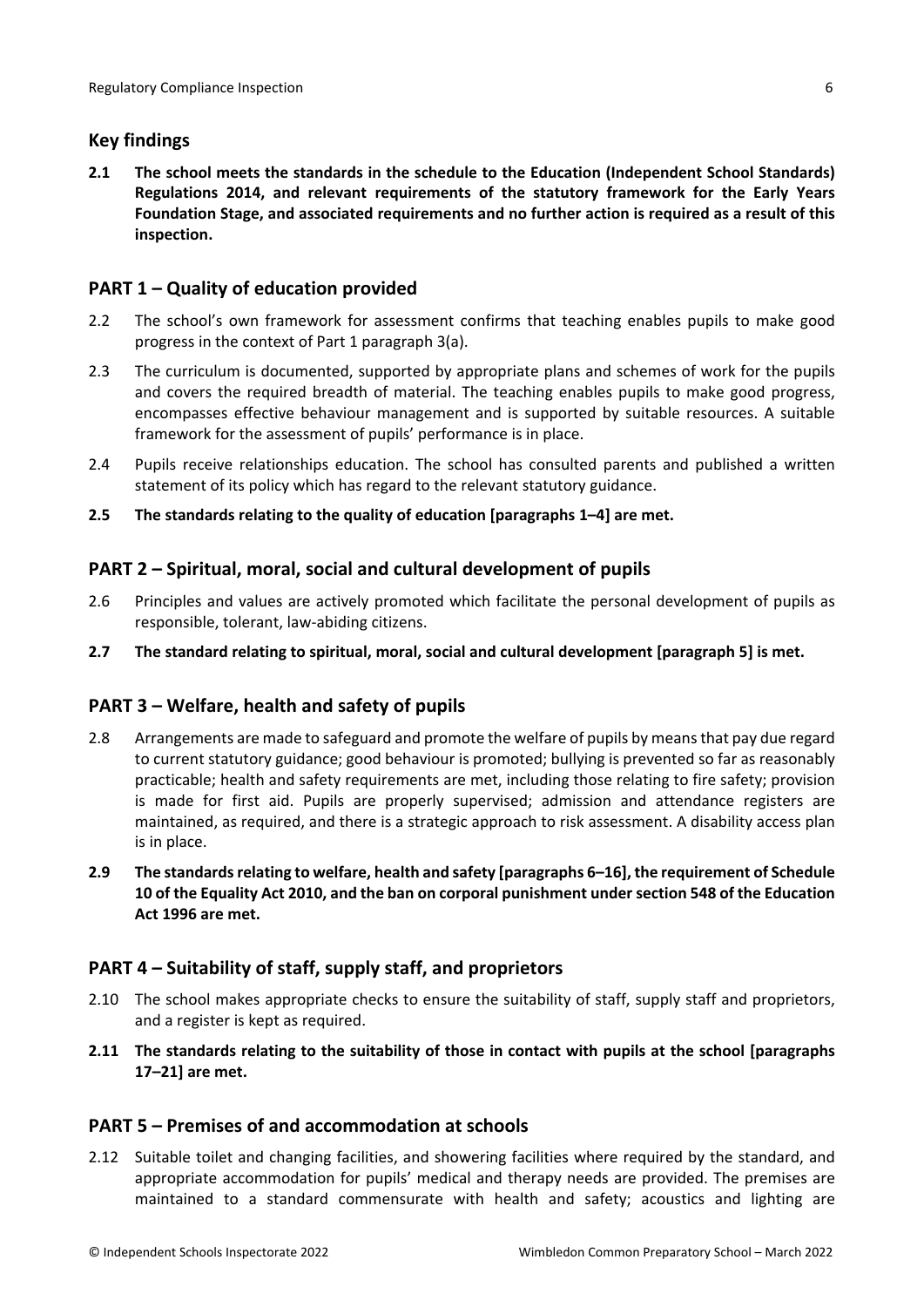# <span id="page-5-0"></span>**Key findings**

**2.1 The school meets the standards in the schedule to the Education (Independent School Standards) Regulations 2014, and relevant requirements of the statutory framework for the Early Years Foundation Stage, and associated requirements and no further action is required as a result of this inspection.**

# <span id="page-5-1"></span>**PART 1 – Quality of education provided**

- 2.2 The school's own framework for assessment confirms that teaching enables pupils to make good progress in the context of Part 1 paragraph 3(a).
- 2.3 The curriculum is documented, supported by appropriate plans and schemes of work for the pupils and covers the required breadth of material. The teaching enables pupils to make good progress, encompasses effective behaviour management and is supported by suitable resources. A suitable framework for the assessment of pupils' performance is in place.
- 2.4 Pupils receive relationships education. The school has consulted parents and published a written statement of its policy which has regard to the relevant statutory guidance.
- **2.5 The standards relating to the quality of education [paragraphs 1–4] are met.**

# <span id="page-5-2"></span>**PART 2 – Spiritual, moral, social and cultural development of pupils**

- 2.6 Principles and values are actively promoted which facilitate the personal development of pupils as responsible, tolerant, law-abiding citizens.
- **2.7 The standard relating to spiritual, moral, social and cultural development [paragraph 5] is met.**

## <span id="page-5-3"></span>**PART 3 – Welfare, health and safety of pupils**

- 2.8 Arrangements are made to safeguard and promote the welfare of pupils by means that pay due regard to current statutory guidance; good behaviour is promoted; bullying is prevented so far as reasonably practicable; health and safety requirements are met, including those relating to fire safety; provision is made for first aid. Pupils are properly supervised; admission and attendance registers are maintained, as required, and there is a strategic approach to risk assessment. A disability access plan is in place.
- **2.9 The standardsrelating to welfare, health and safety [paragraphs 6–16], the requirement of Schedule 10 of the Equality Act 2010, and the ban on corporal punishment undersection 548 of the Education Act 1996 are met.**

## <span id="page-5-4"></span>**PART 4 – Suitability of staff, supply staff, and proprietors**

- 2.10 The school makes appropriate checks to ensure the suitability of staff, supply staff and proprietors, and a register is kept as required.
- **2.11 The standards relating to the suitability of those in contact with pupils at the school [paragraphs 17–21] are met.**

## <span id="page-5-5"></span>**PART 5 – Premises of and accommodation at schools**

2.12 Suitable toilet and changing facilities, and showering facilities where required by the standard, and appropriate accommodation for pupils' medical and therapy needs are provided. The premises are maintained to a standard commensurate with health and safety; acoustics and lighting are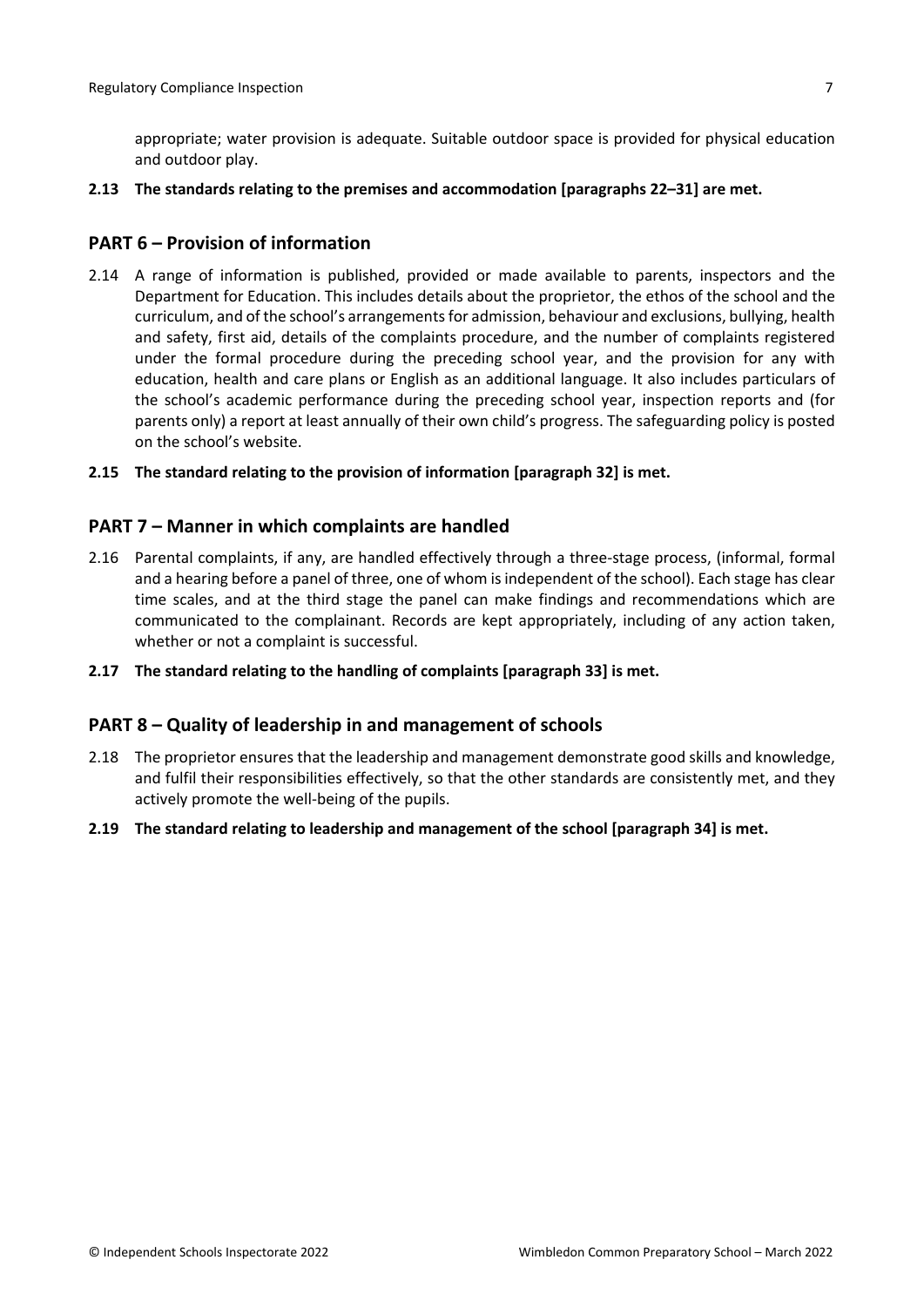appropriate; water provision is adequate. Suitable outdoor space is provided for physical education and outdoor play.

#### **2.13 The standards relating to the premises and accommodation [paragraphs 22–31] are met.**

### <span id="page-6-0"></span>**PART 6 – Provision of information**

- 2.14 A range of information is published, provided or made available to parents, inspectors and the Department for Education. This includes details about the proprietor, the ethos of the school and the curriculum, and of the school's arrangementsfor admission, behaviour and exclusions, bullying, health and safety, first aid, details of the complaints procedure, and the number of complaints registered under the formal procedure during the preceding school year, and the provision for any with education, health and care plans or English as an additional language. It also includes particulars of the school's academic performance during the preceding school year, inspection reports and (for parents only) a report at least annually of their own child's progress. The safeguarding policy is posted on the school's website.
- **2.15 The standard relating to the provision of information [paragraph 32] is met.**

### <span id="page-6-1"></span>**PART 7 – Manner in which complaints are handled**

- 2.16 Parental complaints, if any, are handled effectively through a three-stage process, (informal, formal and a hearing before a panel of three, one of whom isindependent of the school). Each stage has clear time scales, and at the third stage the panel can make findings and recommendations which are communicated to the complainant. Records are kept appropriately, including of any action taken, whether or not a complaint is successful.
- **2.17 The standard relating to the handling of complaints [paragraph 33] is met.**

### <span id="page-6-2"></span>**PART 8 – Quality of leadership in and management of schools**

- 2.18 The proprietor ensures that the leadership and management demonstrate good skills and knowledge, and fulfil their responsibilities effectively, so that the other standards are consistently met, and they actively promote the well-being of the pupils.
- **2.19 The standard relating to leadership and management of the school [paragraph 34] is met.**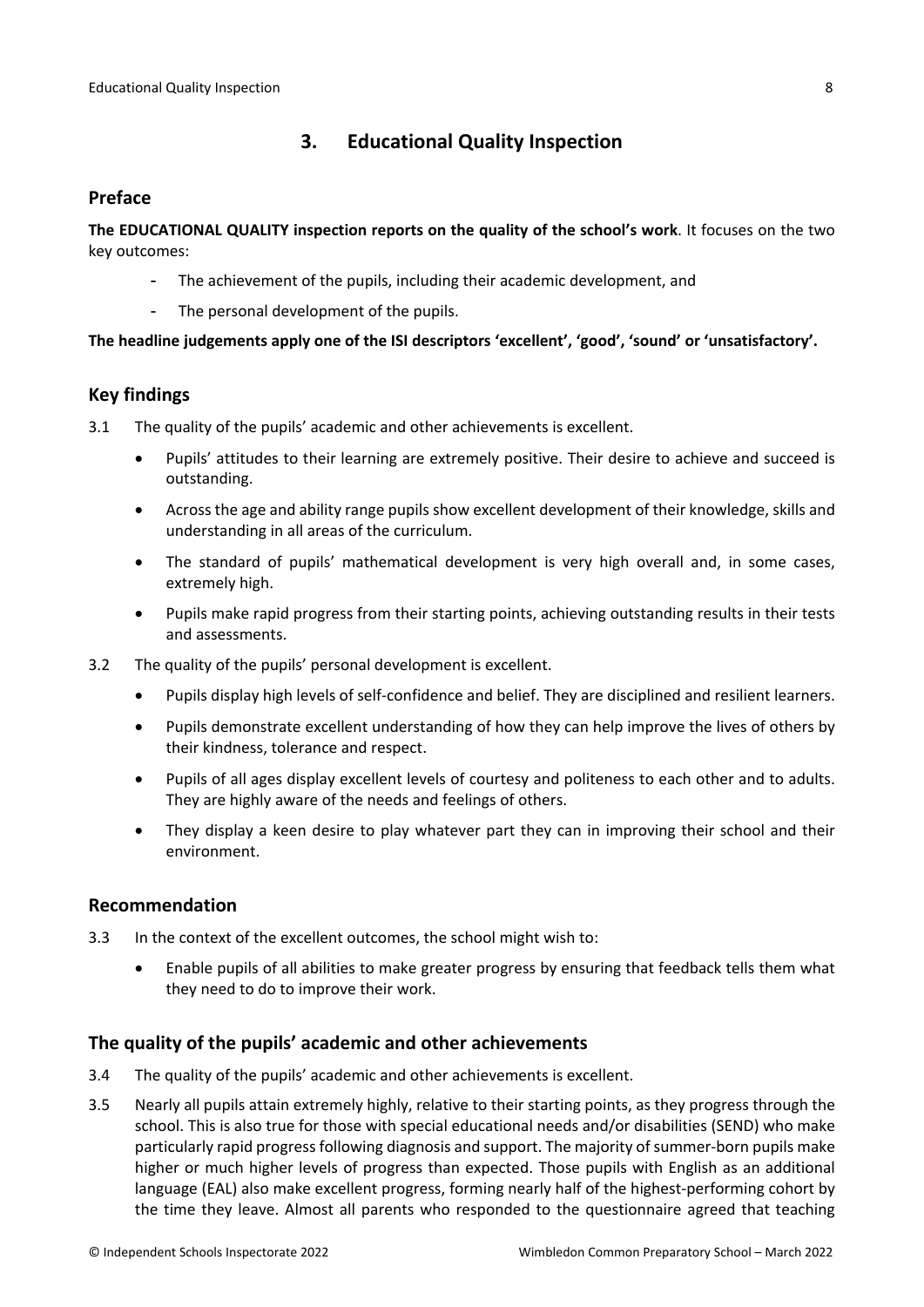# <span id="page-7-0"></span>**3. Educational Quality Inspection**

### <span id="page-7-1"></span>**Preface**

**The EDUCATIONAL QUALITY inspection reports on the quality of the school's work**. It focuses on the two key outcomes:

- The achievement of the pupils, including their academic development, and
- The personal development of the pupils.

### **The headline judgements apply one of the ISI descriptors 'excellent', 'good', 'sound' or 'unsatisfactory'.**

## <span id="page-7-2"></span>**Key findings**

- 3.1 The quality of the pupils' academic and other achievements is excellent.
	- Pupils' attitudes to their learning are extremely positive. Their desire to achieve and succeed is outstanding.
	- Across the age and ability range pupils show excellent development of their knowledge, skills and understanding in all areas of the curriculum.
	- The standard of pupils' mathematical development is very high overall and, in some cases, extremely high.
	- Pupils make rapid progress from their starting points, achieving outstanding results in their tests and assessments.
- 3.2 The quality of the pupils' personal development is excellent.
	- Pupils display high levels of self-confidence and belief. They are disciplined and resilient learners.
	- Pupils demonstrate excellent understanding of how they can help improve the lives of others by their kindness, tolerance and respect.
	- Pupils of all ages display excellent levels of courtesy and politeness to each other and to adults. They are highly aware of the needs and feelings of others.
	- They display a keen desire to play whatever part they can in improving their school and their environment.

### <span id="page-7-3"></span>**Recommendation**

- 3.3 In the context of the excellent outcomes, the school might wish to:
	- Enable pupils of all abilities to make greater progress by ensuring that feedback tells them what they need to do to improve their work.

## <span id="page-7-4"></span>**The quality of the pupils' academic and other achievements**

- 3.4 The quality of the pupils' academic and other achievements is excellent.
- 3.5 Nearly all pupils attain extremely highly, relative to their starting points, as they progress through the school. This is also true for those with special educational needs and/or disabilities (SEND) who make particularly rapid progress following diagnosis and support. The majority of summer-born pupils make higher or much higher levels of progress than expected. Those pupils with English as an additional language (EAL) also make excellent progress, forming nearly half of the highest-performing cohort by the time they leave. Almost all parents who responded to the questionnaire agreed that teaching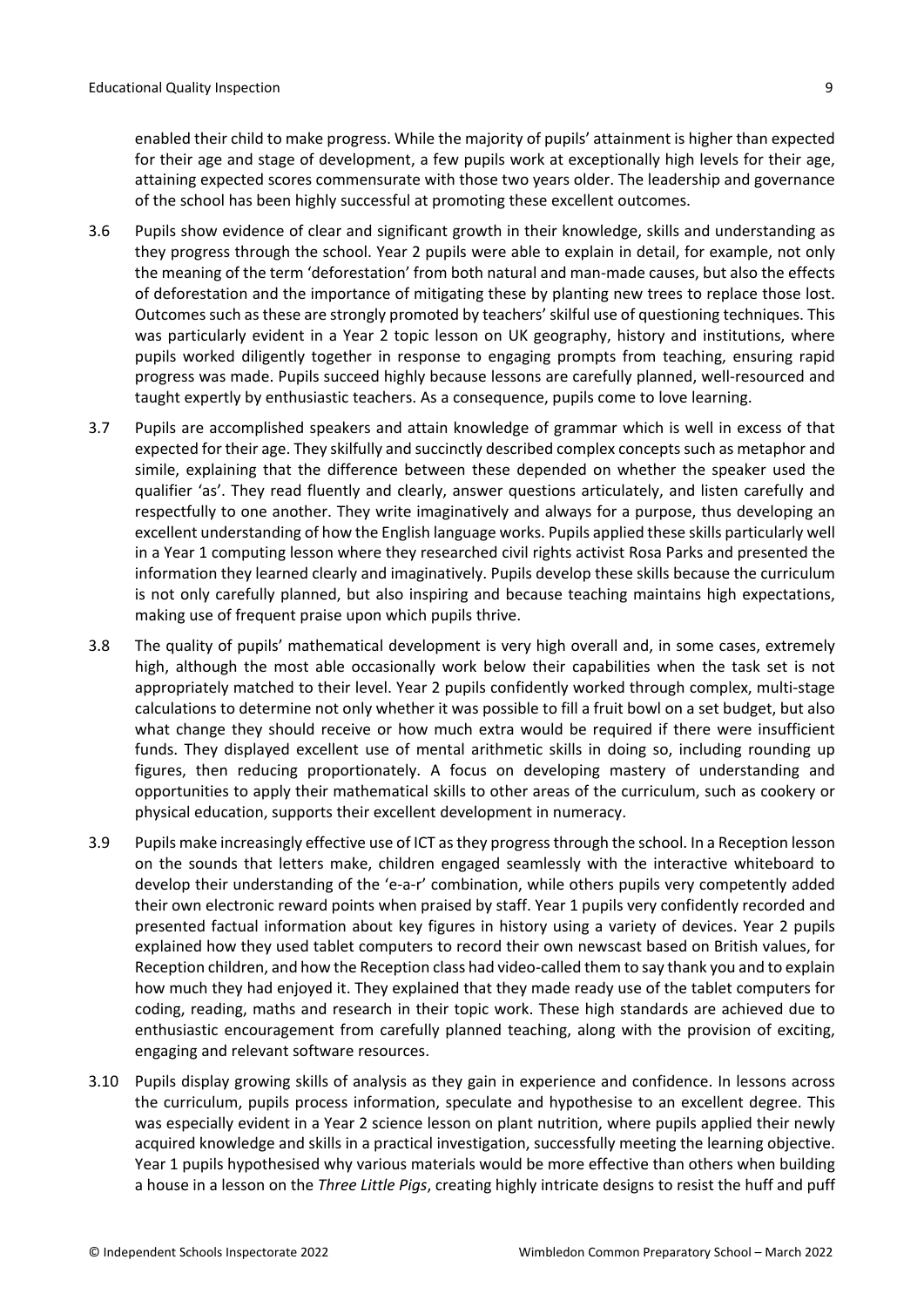enabled their child to make progress. While the majority of pupils' attainment is higher than expected for their age and stage of development, a few pupils work at exceptionally high levels for their age, attaining expected scores commensurate with those two years older. The leadership and governance of the school has been highly successful at promoting these excellent outcomes.

- 3.6 Pupils show evidence of clear and significant growth in their knowledge, skills and understanding as they progress through the school. Year 2 pupils were able to explain in detail, for example, not only the meaning of the term 'deforestation' from both natural and man-made causes, but also the effects of deforestation and the importance of mitigating these by planting new trees to replace those lost. Outcomes such asthese are strongly promoted by teachers' skilful use of questioning techniques. This was particularly evident in a Year 2 topic lesson on UK geography, history and institutions, where pupils worked diligently together in response to engaging prompts from teaching, ensuring rapid progress was made. Pupils succeed highly because lessons are carefully planned, well-resourced and taught expertly by enthusiastic teachers. As a consequence, pupils come to love learning.
- 3.7 Pupils are accomplished speakers and attain knowledge of grammar which is well in excess of that expected for their age. They skilfully and succinctly described complex concepts such as metaphor and simile, explaining that the difference between these depended on whether the speaker used the qualifier 'as'. They read fluently and clearly, answer questions articulately, and listen carefully and respectfully to one another. They write imaginatively and always for a purpose, thus developing an excellent understanding of how the English language works. Pupils applied these skills particularly well in a Year 1 computing lesson where they researched civil rights activist Rosa Parks and presented the information they learned clearly and imaginatively. Pupils develop these skills because the curriculum is not only carefully planned, but also inspiring and because teaching maintains high expectations, making use of frequent praise upon which pupils thrive.
- 3.8 The quality of pupils' mathematical development is very high overall and, in some cases, extremely high, although the most able occasionally work below their capabilities when the task set is not appropriately matched to their level. Year 2 pupils confidently worked through complex, multi-stage calculations to determine not only whether it was possible to fill a fruit bowl on a set budget, but also what change they should receive or how much extra would be required if there were insufficient funds. They displayed excellent use of mental arithmetic skills in doing so, including rounding up figures, then reducing proportionately. A focus on developing mastery of understanding and opportunities to apply their mathematical skills to other areas of the curriculum, such as cookery or physical education, supports their excellent development in numeracy.
- 3.9 Pupils make increasingly effective use of ICT asthey progressthrough the school. In a Reception lesson on the sounds that letters make, children engaged seamlessly with the interactive whiteboard to develop their understanding of the 'e-a-r' combination, while others pupils very competently added their own electronic reward points when praised by staff. Year 1 pupils very confidently recorded and presented factual information about key figures in history using a variety of devices. Year 2 pupils explained how they used tablet computers to record their own newscast based on British values, for Reception children, and how the Reception class had video-called them to say thank you and to explain how much they had enjoyed it. They explained that they made ready use of the tablet computers for coding, reading, maths and research in their topic work. These high standards are achieved due to enthusiastic encouragement from carefully planned teaching, along with the provision of exciting, engaging and relevant software resources.
- 3.10 Pupils display growing skills of analysis as they gain in experience and confidence. In lessons across the curriculum, pupils process information, speculate and hypothesise to an excellent degree. This was especially evident in a Year 2 science lesson on plant nutrition, where pupils applied their newly acquired knowledge and skills in a practical investigation, successfully meeting the learning objective. Year 1 pupils hypothesised why various materials would be more effective than others when building a house in a lesson on the *Three Little Pigs*, creating highly intricate designs to resist the huff and puff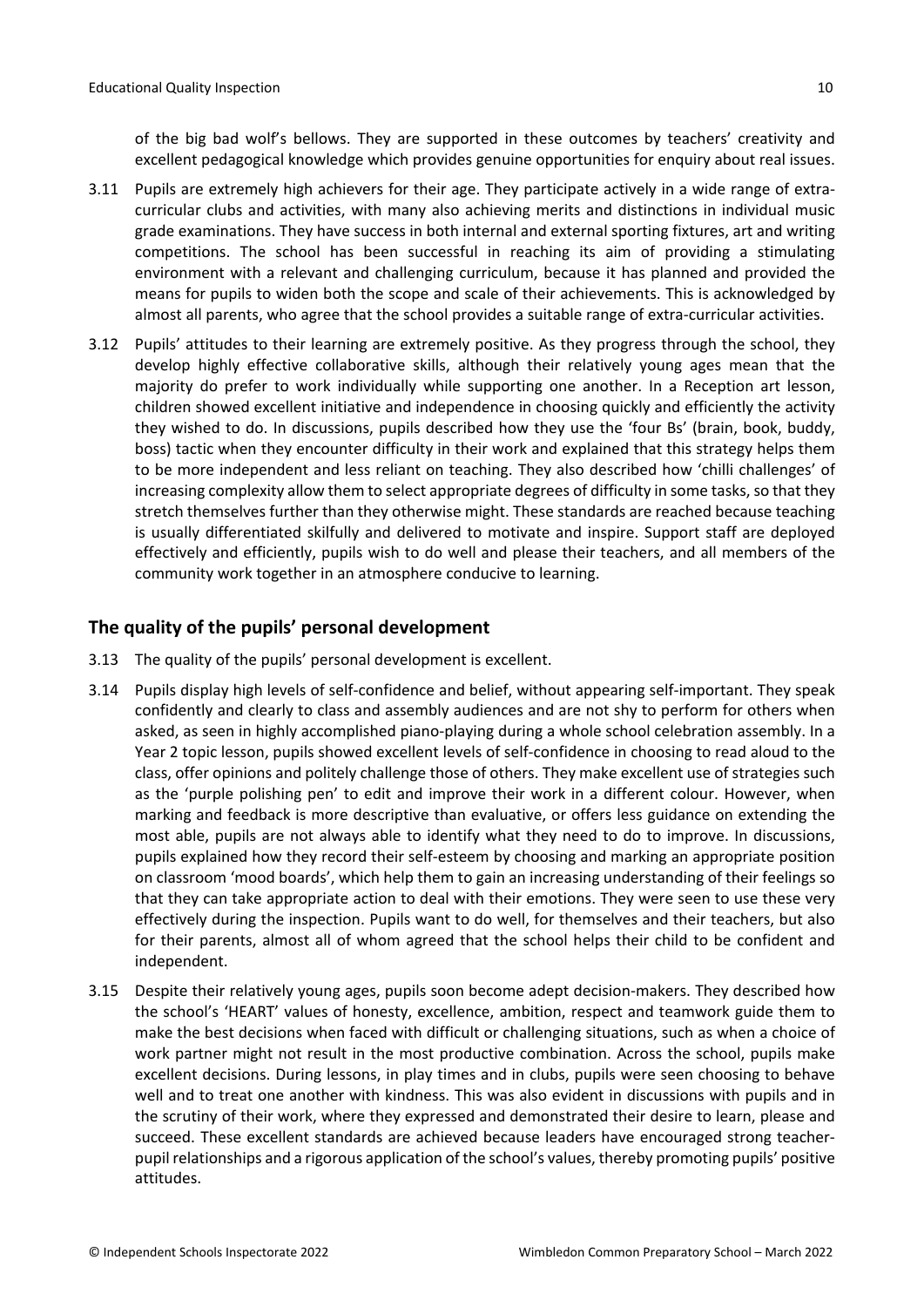of the big bad wolf's bellows. They are supported in these outcomes by teachers' creativity and excellent pedagogical knowledge which provides genuine opportunities for enquiry about real issues.

- 3.11 Pupils are extremely high achievers for their age. They participate actively in a wide range of extracurricular clubs and activities, with many also achieving merits and distinctions in individual music grade examinations. They have success in both internal and external sporting fixtures, art and writing competitions. The school has been successful in reaching its aim of providing a stimulating environment with a relevant and challenging curriculum, because it has planned and provided the means for pupils to widen both the scope and scale of their achievements. This is acknowledged by almost all parents, who agree that the school provides a suitable range of extra-curricular activities.
- 3.12 Pupils' attitudes to their learning are extremely positive. As they progress through the school, they develop highly effective collaborative skills, although their relatively young ages mean that the majority do prefer to work individually while supporting one another. In a Reception art lesson, children showed excellent initiative and independence in choosing quickly and efficiently the activity they wished to do. In discussions, pupils described how they use the 'four Bs' (brain, book, buddy, boss) tactic when they encounter difficulty in their work and explained that this strategy helps them to be more independent and less reliant on teaching. They also described how 'chilli challenges' of increasing complexity allow them to select appropriate degrees of difficulty in some tasks, so that they stretch themselves further than they otherwise might. These standards are reached because teaching is usually differentiated skilfully and delivered to motivate and inspire. Support staff are deployed effectively and efficiently, pupils wish to do well and please their teachers, and all members of the community work together in an atmosphere conducive to learning.

## <span id="page-9-0"></span>**The quality of the pupils' personal development**

- 3.13 The quality of the pupils' personal development is excellent.
- 3.14 Pupils display high levels of self-confidence and belief, without appearing self-important. They speak confidently and clearly to class and assembly audiences and are not shy to perform for others when asked, as seen in highly accomplished piano-playing during a whole school celebration assembly. In a Year 2 topic lesson, pupils showed excellent levels of self-confidence in choosing to read aloud to the class, offer opinions and politely challenge those of others. They make excellent use of strategies such as the 'purple polishing pen' to edit and improve their work in a different colour. However, when marking and feedback is more descriptive than evaluative, or offers less guidance on extending the most able, pupils are not always able to identify what they need to do to improve. In discussions, pupils explained how they record their self-esteem by choosing and marking an appropriate position on classroom 'mood boards', which help them to gain an increasing understanding of their feelings so that they can take appropriate action to deal with their emotions. They were seen to use these very effectively during the inspection. Pupils want to do well, for themselves and their teachers, but also for their parents, almost all of whom agreed that the school helps their child to be confident and independent.
- 3.15 Despite their relatively young ages, pupils soon become adept decision-makers. They described how the school's 'HEART' values of honesty, excellence, ambition, respect and teamwork guide them to make the best decisions when faced with difficult or challenging situations, such as when a choice of work partner might not result in the most productive combination. Across the school, pupils make excellent decisions. During lessons, in play times and in clubs, pupils were seen choosing to behave well and to treat one another with kindness. This was also evident in discussions with pupils and in the scrutiny of their work, where they expressed and demonstrated their desire to learn, please and succeed. These excellent standards are achieved because leaders have encouraged strong teacherpupil relationships and a rigorous application of the school's values, thereby promoting pupils' positive attitudes.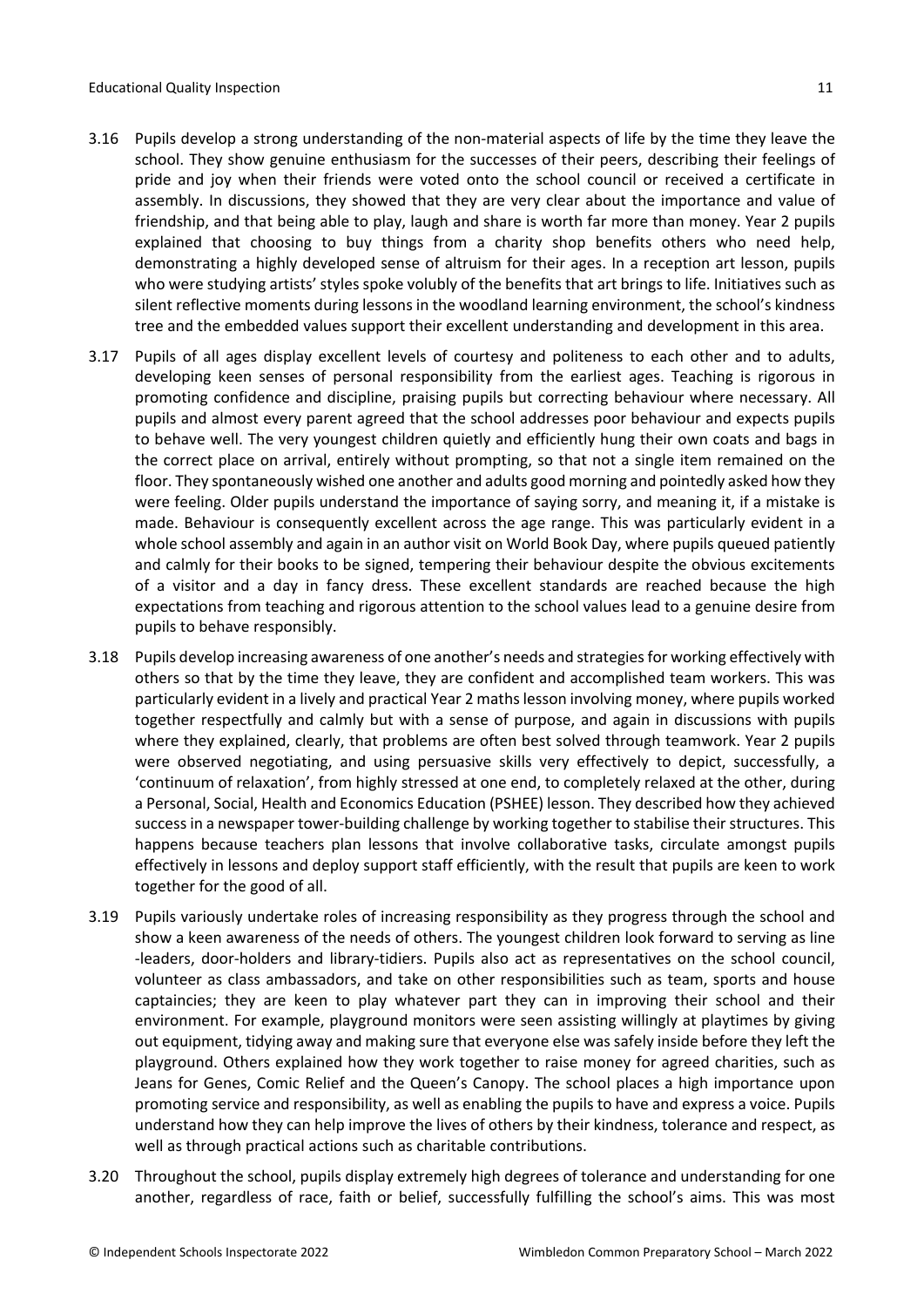- 3.16 Pupils develop a strong understanding of the non-material aspects of life by the time they leave the school. They show genuine enthusiasm for the successes of their peers, describing their feelings of pride and joy when their friends were voted onto the school council or received a certificate in assembly. In discussions, they showed that they are very clear about the importance and value of friendship, and that being able to play, laugh and share is worth far more than money. Year 2 pupils explained that choosing to buy things from a charity shop benefits others who need help, demonstrating a highly developed sense of altruism for their ages. In a reception art lesson, pupils who were studying artists' styles spoke volubly of the benefits that art brings to life. Initiatives such as silent reflective moments during lessons in the woodland learning environment, the school's kindness tree and the embedded values support their excellent understanding and development in this area.
- 3.17 Pupils of all ages display excellent levels of courtesy and politeness to each other and to adults, developing keen senses of personal responsibility from the earliest ages. Teaching is rigorous in promoting confidence and discipline, praising pupils but correcting behaviour where necessary. All pupils and almost every parent agreed that the school addresses poor behaviour and expects pupils to behave well. The very youngest children quietly and efficiently hung their own coats and bags in the correct place on arrival, entirely without prompting, so that not a single item remained on the floor. They spontaneously wished one another and adults good morning and pointedly asked how they were feeling. Older pupils understand the importance of saying sorry, and meaning it, if a mistake is made. Behaviour is consequently excellent across the age range. This was particularly evident in a whole school assembly and again in an author visit on World Book Day, where pupils queued patiently and calmly for their books to be signed, tempering their behaviour despite the obvious excitements of a visitor and a day in fancy dress. These excellent standards are reached because the high expectations from teaching and rigorous attention to the school values lead to a genuine desire from pupils to behave responsibly.
- 3.18 Pupils develop increasing awareness of one another's needs and strategiesfor working effectively with others so that by the time they leave, they are confident and accomplished team workers. This was particularly evident in a lively and practical Year 2 mathslesson involving money, where pupils worked together respectfully and calmly but with a sense of purpose, and again in discussions with pupils where they explained, clearly, that problems are often best solved through teamwork. Year 2 pupils were observed negotiating, and using persuasive skills very effectively to depict, successfully, a 'continuum of relaxation', from highly stressed at one end, to completely relaxed at the other, during a Personal, Social, Health and Economics Education (PSHEE) lesson. They described how they achieved success in a newspaper tower-building challenge by working together to stabilise their structures. This happens because teachers plan lessons that involve collaborative tasks, circulate amongst pupils effectively in lessons and deploy support staff efficiently, with the result that pupils are keen to work together for the good of all.
- 3.19 Pupils variously undertake roles of increasing responsibility as they progress through the school and show a keen awareness of the needs of others. The youngest children look forward to serving as line -leaders, door-holders and library-tidiers. Pupils also act as representatives on the school council, volunteer as class ambassadors, and take on other responsibilities such as team, sports and house captaincies; they are keen to play whatever part they can in improving their school and their environment. For example, playground monitors were seen assisting willingly at playtimes by giving out equipment, tidying away and making sure that everyone else was safely inside before they left the playground. Others explained how they work together to raise money for agreed charities, such as Jeans for Genes, Comic Relief and the Queen's Canopy. The school places a high importance upon promoting service and responsibility, as well as enabling the pupils to have and express a voice. Pupils understand how they can help improve the lives of others by their kindness, tolerance and respect, as well as through practical actions such as charitable contributions.
- 3.20 Throughout the school, pupils display extremely high degrees of tolerance and understanding for one another, regardless of race, faith or belief, successfully fulfilling the school's aims. This was most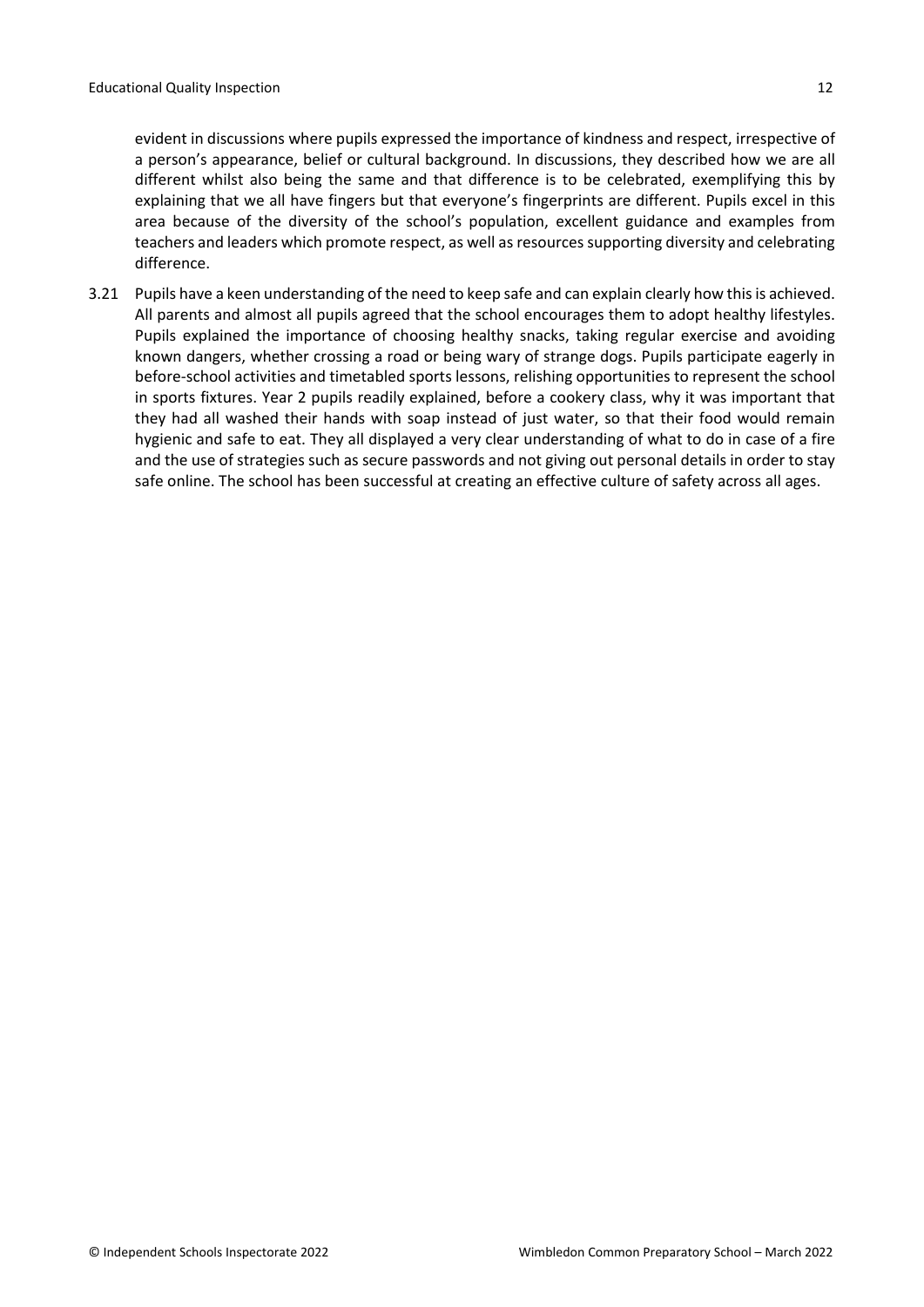evident in discussions where pupils expressed the importance of kindness and respect, irrespective of a person's appearance, belief or cultural background. In discussions, they described how we are all different whilst also being the same and that difference is to be celebrated, exemplifying this by explaining that we all have fingers but that everyone's fingerprints are different. Pupils excel in this area because of the diversity of the school's population, excellent guidance and examples from teachers and leaders which promote respect, as well as resources supporting diversity and celebrating difference.

3.21 Pupils have a keen understanding of the need to keep safe and can explain clearly how thisis achieved. All parents and almost all pupils agreed that the school encourages them to adopt healthy lifestyles. Pupils explained the importance of choosing healthy snacks, taking regular exercise and avoiding known dangers, whether crossing a road or being wary of strange dogs. Pupils participate eagerly in before-school activities and timetabled sports lessons, relishing opportunities to represent the school in sports fixtures. Year 2 pupils readily explained, before a cookery class, why it was important that they had all washed their hands with soap instead of just water, so that their food would remain hygienic and safe to eat. They all displayed a very clear understanding of what to do in case of a fire and the use of strategies such as secure passwords and not giving out personal details in order to stay safe online. The school has been successful at creating an effective culture of safety across all ages.